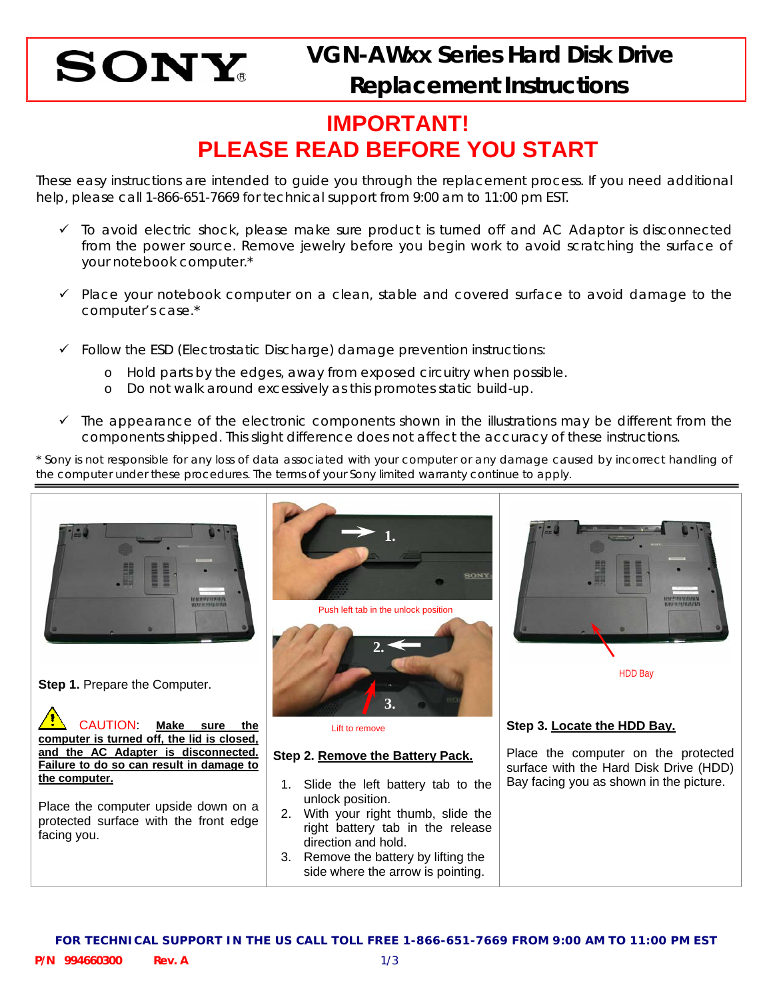

## **IMPORTANT! PLEASE READ BEFORE YOU START**

These easy instructions are intended to guide you through the replacement process. If you need additional help, please call 1-866-651-7669 for technical support from 9:00 am to 11:00 pm EST.

- $\checkmark$  To avoid electric shock, please make sure product is turned off and AC Adaptor is disconnected from the power source. Remove jewelry before you begin work to avoid scratching the surface of your notebook computer.\*
- $\checkmark$  Place your notebook computer on a clean, stable and covered surface to avoid damage to the computer's case.\*
- $\checkmark$  Follow the ESD (Electrostatic Discharge) damage prevention instructions:
	- o Hold parts by the edges, away from exposed circuitry when possible.
	- o Do not walk around excessively as this promotes static build-up.
- $\checkmark$  The appearance of the electronic components shown in the illustrations may be different from the components shipped. This slight difference does not affect the accuracy of these instructions.

\* Sony is not responsible for any loss of data associated with your computer or any damage caused by incorrect handling of the computer under these procedures. The terms of your Sony limited warranty continue to apply.

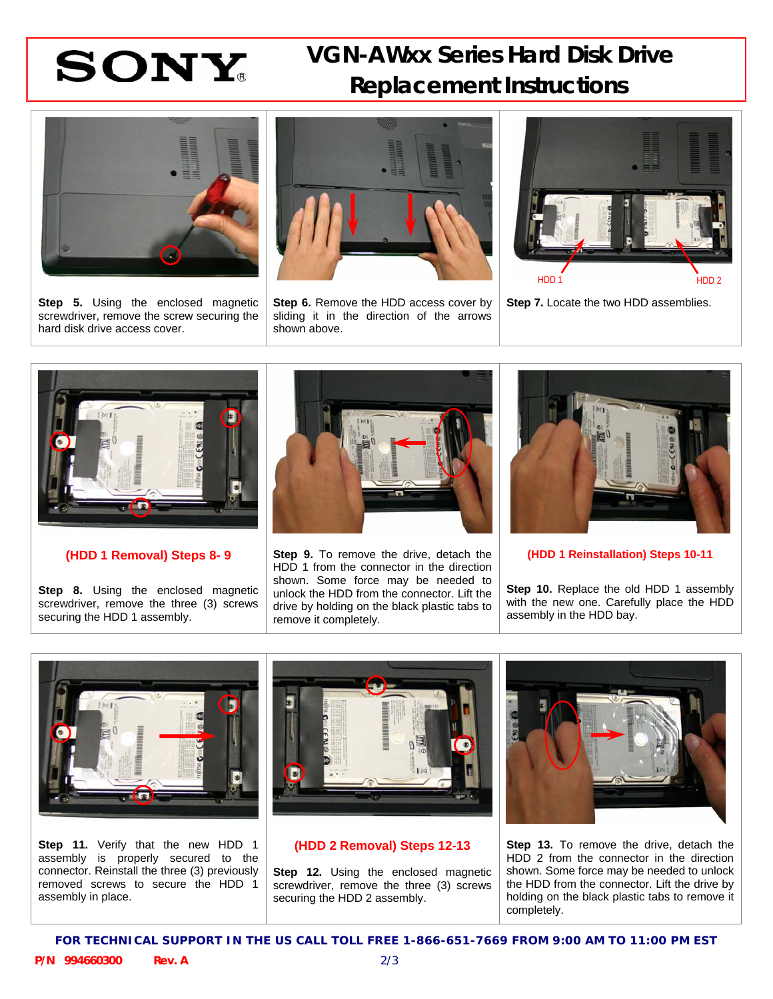## **SONY** VGN-AWxx Series Hard Disk Drive  **Replacement Instructions**



**Step 5.** Using the enclosed magnetic screwdriver, remove the screw securing the hard disk drive access cover.



**Step 6.** Remove the HDD access cover by sliding it in the direction of the arrows shown above.



**Step 7.** Locate the two HDD assemblies.



**(HDD 1 Removal) Steps 8- 9** 

**Step 8.** Using the enclosed magnetic screwdriver, remove the three (3) screws securing the HDD 1 assembly.



**Step 9.** To remove the drive, detach the HDD 1 from the connector in the direction shown. Some force may be needed to unlock the HDD from the connector. Lift the drive by holding on the black plastic tabs to remove it completely.



**(HDD 1 Reinstallation) Steps 10-11** 

**Step 10.** Replace the old HDD 1 assembly with the new one. Carefully place the HDD assembly in the HDD bay.



**Step 11.** Verify that the new HDD 1 assembly is properly secured to the connector. Reinstall the three (3) previously removed screws to secure the HDD 1 assembly in place.



### **(HDD 2 Removal) Steps 12-13**

**Step 12.** Using the enclosed magnetic screwdriver, remove the three (3) screws securing the HDD 2 assembly.



**Step 13.** To remove the drive, detach the HDD 2 from the connector in the direction shown. Some force may be needed to unlock the HDD from the connector. Lift the drive by holding on the black plastic tabs to remove it completely.

**FOR TECHNICAL SUPPORT IN THE US CALL TOLL FREE 1-866-651-7669 FROM 9:00 AM TO 11:00 PM EST**